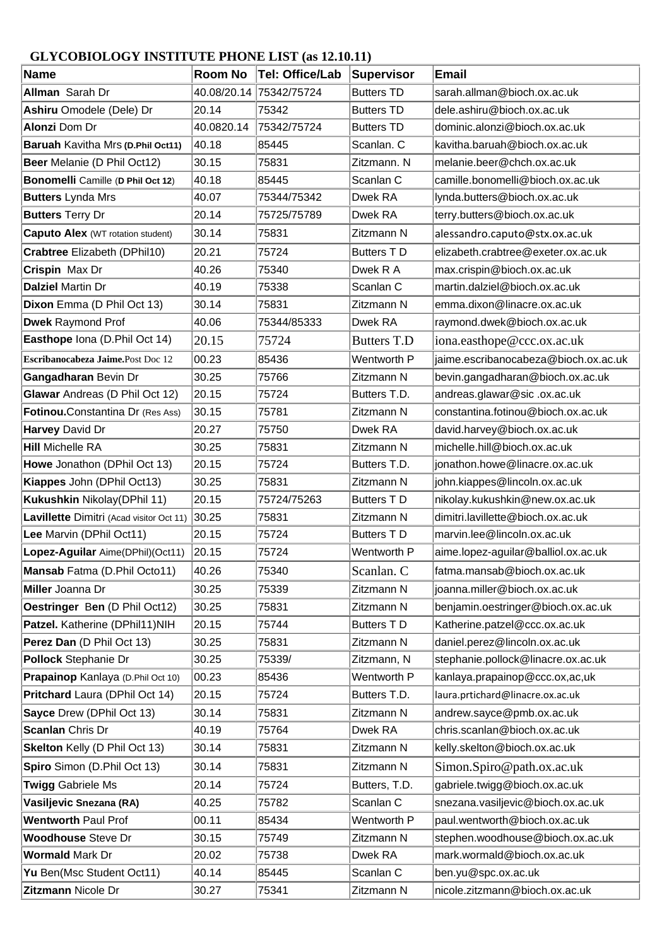## **GLYCOBIOLOGY INSTITUTE PHONE LIST (as 12.10.11)**

| Name                                     | Room No     | Tel: Office/Lab | Supervisor         | <b>Email</b>                         |
|------------------------------------------|-------------|-----------------|--------------------|--------------------------------------|
| <b>Allman</b> Sarah Dr                   | 40.08/20.14 | 75342/75724     | <b>Butters TD</b>  | sarah.allman@bioch.ox.ac.uk          |
| Ashiru Omodele (Dele) Dr                 | 20.14       | 75342           | <b>Butters TD</b>  | dele.ashiru@bioch.ox.ac.uk           |
| <b>Alonzi Dom Dr</b>                     | 40.0820.14  | 75342/75724     | <b>Butters TD</b>  | dominic.alonzi@bioch.ox.ac.uk        |
| Baruah Kavitha Mrs (D.Phil Oct11)        | 40.18       | 85445           | Scanlan. C         | kavitha.baruah@bioch.ox.ac.uk        |
| Beer Melanie (D Phil Oct12)              | 30.15       | 75831           | Zitzmann. N        | melanie.beer@chch.ox.ac.uk           |
| Bonomelli Camille (D Phil Oct 12)        | 40.18       | 85445           | Scanlan C          | camille.bonomelli@bioch.ox.ac.uk     |
| <b>Butters Lynda Mrs</b>                 | 40.07       | 75344/75342     | Dwek RA            | lynda.butters@bioch.ox.ac.uk         |
| <b>Butters Terry Dr</b>                  | 20.14       | 75725/75789     | Dwek RA            | terry.butters@bioch.ox.ac.uk         |
| <b>Caputo Alex (WT rotation student)</b> | 30.14       | 75831           | Zitzmann N         | alessandro.caputo@stx.ox.ac.uk       |
| Crabtree Elizabeth (DPhil10)             | 20.21       | 75724           | <b>Butters TD</b>  | elizabeth.crabtree@exeter.ox.ac.uk   |
| Crispin Max Dr                           | 40.26       | 75340           | Dwek R A           | max.crispin@bioch.ox.ac.uk           |
| <b>Dalziel Martin Dr</b>                 | 40.19       | 75338           | Scanlan C          | martin.dalziel@bioch.ox.ac.uk        |
| Dixon Emma (D Phil Oct 13)               | 30.14       | 75831           | Zitzmann N         | emma.dixon@linacre.ox.ac.uk          |
| <b>Dwek Raymond Prof</b>                 | 40.06       | 75344/85333     | Dwek RA            | raymond.dwek@bioch.ox.ac.uk          |
| Easthope Iona (D.Phil Oct 14)            | 20.15       | 75724           | <b>Butters T.D</b> | iona.easthope@ccc.ox.ac.uk           |
| Escribanocabeza Jaime.Post Doc 12        | 00.23       | 85436           | Wentworth P        | jaime.escribanocabeza@bioch.ox.ac.uk |
| Gangadharan Bevin Dr                     | 30.25       | 75766           | Zitzmann N         | bevin.gangadharan@bioch.ox.ac.uk     |
| Glawar Andreas (D Phil Oct 12)           | 20.15       | 75724           | Butters T.D.       | andreas.glawar@sic.ox.ac.uk          |
| Fotinou.Constantina Dr (Res Ass)         | 30.15       | 75781           | Zitzmann N         | constantina.fotinou@bioch.ox.ac.uk   |
| Harvey David Dr                          | 20.27       | 75750           | Dwek RA            | david.harvey@bioch.ox.ac.uk          |
| <b>Hill Michelle RA</b>                  | 30.25       | 75831           | Zitzmann N         | michelle.hill@bioch.ox.ac.uk         |
| Howe Jonathon (DPhil Oct 13)             | 20.15       | 75724           | Butters T.D.       | jonathon.howe@linacre.ox.ac.uk       |
| Kiappes John (DPhil Oct13)               | 30.25       | 75831           | Zitzmann N         | john.kiappes@lincoln.ox.ac.uk        |
| Kukushkin Nikolay(DPhil 11)              | 20.15       | 75724/75263     | <b>Butters TD</b>  | nikolay.kukushkin@new.ox.ac.uk       |
| Lavillette Dimitri (Acad visitor Oct 11) | 30.25       | 75831           | Zitzmann N         | dimitri.lavillette@bioch.ox.ac.uk    |
| Lee Marvin (DPhil Oct11)                 | 20.15       | 75724           | <b>Butters TD</b>  | marvin.lee@lincoln.ox.ac.uk          |
| Lopez-Aguilar Aime(DPhil)(Oct11)         | 20.15       | 75724           | Wentworth P        | aime.lopez-aguilar@balliol.ox.ac.uk  |
| Mansab Fatma (D.Phil Octo11)             | 40.26       | 75340           | Scanlan. C         | fatma.mansab@bioch.ox.ac.uk          |
| Miller Joanna Dr                         | 30.25       | 75339           | Zitzmann N         | joanna.miller@bioch.ox.ac.uk         |
| Oestringer Ben (D Phil Oct12)            | 30.25       | 75831           | Zitzmann N         | benjamin.oestringer@bioch.ox.ac.uk   |
| Patzel. Katherine (DPhil11)NIH           | 20.15       | 75744           | Butters TD         | Katherine.patzel@ccc.ox.ac.uk        |
| Perez Dan (D Phil Oct 13)                | 30.25       | 75831           | Zitzmann N         | daniel.perez@lincoln.ox.ac.uk        |
| <b>Pollock Stephanie Dr</b>              | 30.25       | 75339/          | Zitzmann, N        | stephanie.pollock@linacre.ox.ac.uk   |
| Prapainop Kanlaya (D.Phil Oct 10)        | 00.23       | 85436           | Wentworth P        | kanlaya.prapainop@ccc.ox,ac,uk       |
| Pritchard Laura (DPhil Oct 14)           | 20.15       | 75724           | Butters T.D.       | laura.prtichard@linacre.ox.ac.uk     |
| Sayce Drew (DPhil Oct 13)                | 30.14       | 75831           | Zitzmann N         | andrew.sayce@pmb.ox.ac.uk            |
| <b>Scanlan Chris Dr</b>                  | 40.19       | 75764           | Dwek RA            | chris.scanlan@bioch.ox.ac.uk         |
| <b>Skelton Kelly (D Phil Oct 13)</b>     | 30.14       | 75831           | Zitzmann N         | kelly.skelton@bioch.ox.ac.uk         |
| Spiro Simon (D.Phil Oct 13)              | 30.14       | 75831           | Zitzmann N         | Simon.Spiro@path.ox.ac.uk            |
| <b>Twigg Gabriele Ms</b>                 | 20.14       | 75724           | Butters, T.D.      | gabriele.twigg@bioch.ox.ac.uk        |
| Vasiljevic Snezana (RA)                  | 40.25       | 75782           | Scanlan C          | snezana.vasiljevic@bioch.ox.ac.uk    |
| <b>Wentworth Paul Prof</b>               | 00.11       | 85434           | Wentworth P        | paul.wentworth@bioch.ox.ac.uk        |
| <b>Woodhouse Steve Dr</b>                | 30.15       | 75749           | Zitzmann N         | stephen.woodhouse@bioch.ox.ac.uk     |
| <b>Wormald Mark Dr</b>                   | 20.02       | 75738           | Dwek RA            | mark.wormald@bioch.ox.ac.uk          |
| Yu Ben(Msc Student Oct11)                | 40.14       | 85445           | Scanlan C          | ben.yu@spc.ox.ac.uk                  |
| Zitzmann Nicole Dr                       | 30.27       | 75341           | Zitzmann N         | nicole.zitzmann@bioch.ox.ac.uk       |